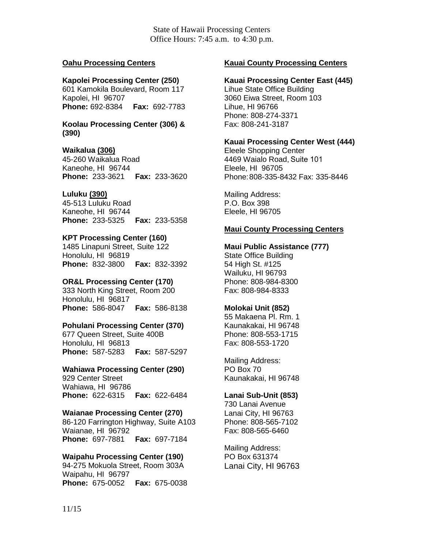State of Hawaii Processing Centers Office Hours: 7:45 a.m. to 4:30 p.m.

### **Oahu Processing Centers**

### **Kapolei Processing Center (250)**

601 Kamokila Boulevard, Room 117 Kapolei, HI 96707 **Phone:** 692-8384 **Fax:** 692-7783

**Koolau Processing Center (306) & (390)**

## **Waikalua (306)**

45-260 Waikalua Road Kaneohe, HI 96744 **Phone:** 233-3621 **Fax:** 233-3620

## **Luluku (390)**

45-513 Luluku Road Kaneohe, HI 96744 **Phone:** 233-5325 **Fax:** 233-5358

## **KPT Processing Center (160)**

1485 Linapuni Street, Suite 122 Honolulu, HI 96819 **Phone:** 832-3800 **Fax:** 832-3392

#### **OR&L Processing Center (170)**

333 North King Street, Room 200 Honolulu, HI 96817 **Phone:** 586-8047 **Fax:** 586-8138

#### **Pohulani Processing Center (370)**

677 Queen Street, Suite 400B Honolulu, HI 96813 **Phone:** 587-5283 **Fax:** 587-5297

# **Wahiawa Processing Center (290)**

929 Center Street Wahiawa, HI 96786 **Phone:** 622-6315 **Fax:** 622-6484

#### **Waianae Processing Center (270)**

86-120 Farrington Highway, Suite A103 Waianae, HI 96792 **Phone:** 697-7881 **Fax:** 697-7184

**Waipahu Processing Center (190)** 94-275 Mokuola Street, Room 303A Waipahu, HI 96797 **Phone:** 675-0052 **Fax:** 675-0038

# **Kauai County Processing Centers**

# **Kauai Processing Center East (445)**

Lihue State Office Building 3060 Eiwa Street, Room 103 Lihue, HI 96766 Phone: 808-274-3371 Fax: 808-241-3187

## **Kauai Processing Center West (444)**

Eleele Shopping Center 4469 Waialo Road, Suite 101Eleele, HI 96705 Phone:808-335-8432 Fax: 335-8446

Mailing Address: P.O. Box 398 Eleele, HI 96705

## **Maui County Processing Centers**

#### **Maui Public Assistance (777)**

State Office Building 54 High St. #125 Wailuku, HI 96793 Phone: 808-984-8300 Fax: 808-984-8333

#### **Molokai Unit (852)**

55 Makaena Pl. Rm. 1 Kaunakakai, HI 96748 Phone: 808-553-1715 Fax: 808-553-1720

Mailing Address: PO Box 70 Kaunakakai, HI 96748

## **Lanai Sub-Unit (853)**

730 Lanai Avenue Lanai City, HI 96763 Phone: 808-565-7102 Fax: 808-565-6460

Mailing Address: PO Box 631374 Lanai City, HI 96763